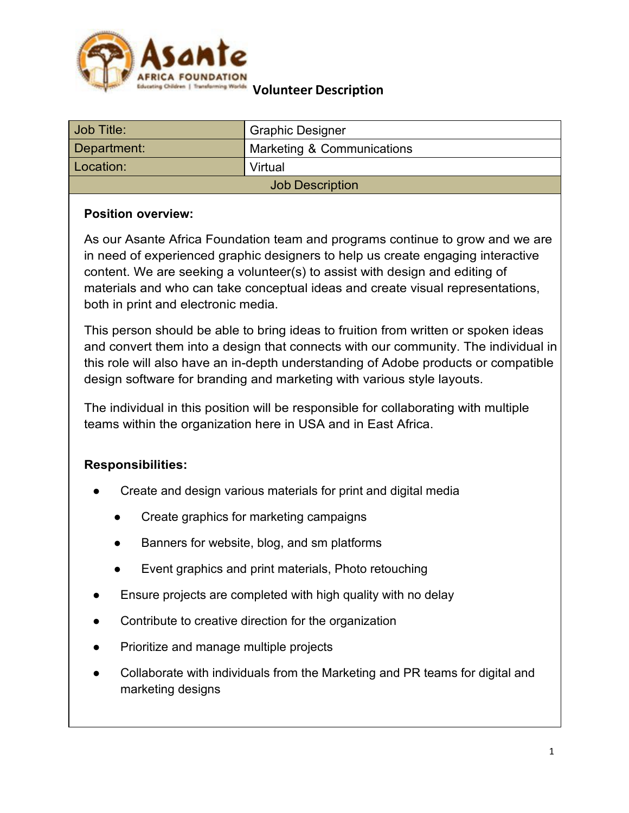

| Job Title:             | <b>Graphic Designer</b>    |
|------------------------|----------------------------|
| Department:            | Marketing & Communications |
| Location:              | Virtual                    |
| <b>Job Description</b> |                            |

### **Position overview:**

As our Asante Africa Foundation team and programs continue to grow and we are in need of experienced graphic designers to help us create engaging interactive content. We are seeking a volunteer(s) to assist with design and editing of materials and who can take conceptual ideas and create visual representations, both in print and electronic media.

This person should be able to bring ideas to fruition from written or spoken ideas and convert them into a design that connects with our community. The individual in this role will also have an in-depth understanding of Adobe products or compatible design software for branding and marketing with various style layouts.

The individual in this position will be responsible for collaborating with multiple teams within the organization here in USA and in East Africa.

### **Responsibilities:**

- Create and design various materials for print and digital media
	- Create graphics for marketing campaigns
	- Banners for website, blog, and sm platforms
	- Event graphics and print materials, Photo retouching
- Ensure projects are completed with high quality with no delay
- Contribute to creative direction for the organization
- Prioritize and manage multiple projects
- Collaborate with individuals from the Marketing and PR teams for digital and marketing designs